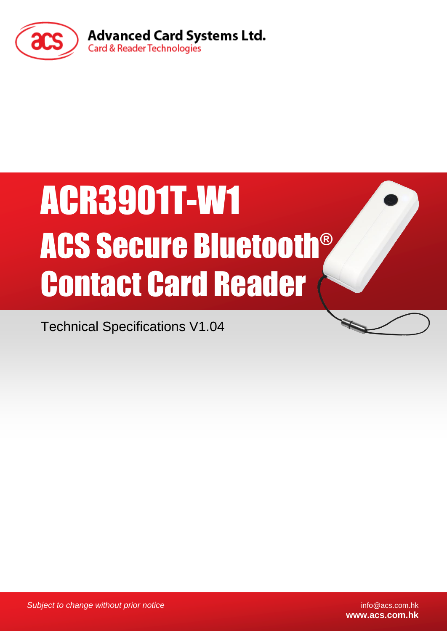

# ACR3901T-W1 ACS Secure Bluetooth® Contact Card Reader

Technical Specifications V1.04

*Subject to change without prior notice* info@acs.com.hk

**www.acs.com.hk**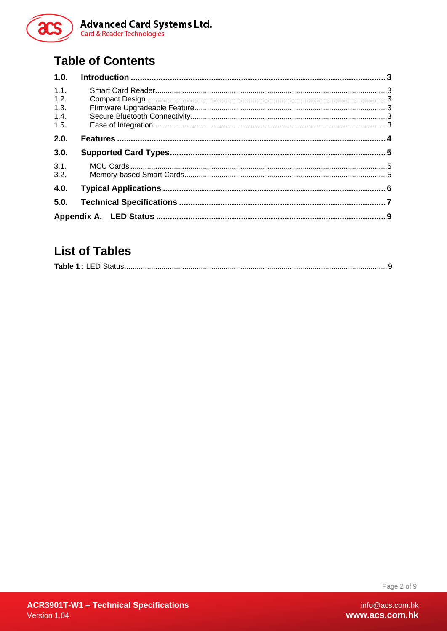

# **Table of Contents**

| 1.0. |  |
|------|--|
| 1.1. |  |
| 1.2. |  |
| 1.3. |  |
| 1.4. |  |
| 1.5. |  |
| 2.0. |  |
| 3.0. |  |
| 3.1. |  |
| 3.2. |  |
| 4.0. |  |
| 5.0. |  |
|      |  |

# **List of Tables**

|--|

Page 2 of 9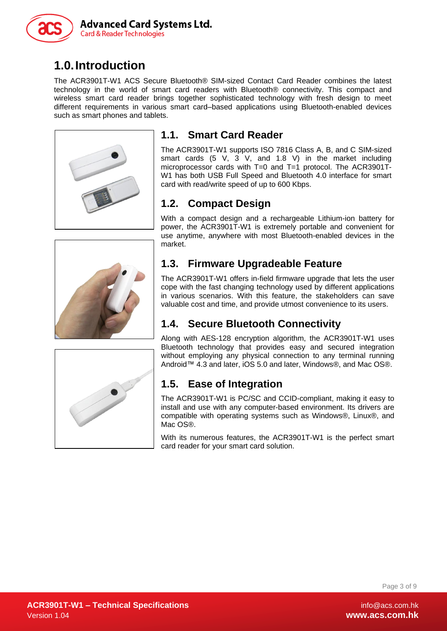

# <span id="page-2-0"></span>**1.0.Introduction**

The ACR3901T-W1 ACS Secure Bluetooth® SIM-sized Contact Card Reader combines the latest technology in the world of smart card readers with Bluetooth® connectivity. This compact and wireless smart card reader brings together sophisticated technology with fresh design to meet different requirements in various smart card–based applications using Bluetooth-enabled devices such as smart phones and tablets.



## <span id="page-2-1"></span>**1.1. Smart Card Reader**

The ACR3901T-W1 supports ISO 7816 Class A, B, and C SIM-sized smart cards (5 V, 3 V, and 1.8 V) in the market including microprocessor cards with T=0 and T=1 protocol. The ACR3901T-W1 has both USB Full Speed and Bluetooth 4.0 interface for smart card with read/write speed of up to 600 Kbps.

#### <span id="page-2-2"></span>**1.2. Compact Design**

With a compact design and a rechargeable Lithium-ion battery for power, the ACR3901T-W1 is extremely portable and convenient for use anytime, anywhere with most Bluetooth-enabled devices in the market.

### <span id="page-2-3"></span>**1.3. Firmware Upgradeable Feature**

The ACR3901T-W1 offers in-field firmware upgrade that lets the user cope with the fast changing technology used by different applications in various scenarios. With this feature, the stakeholders can save valuable cost and time, and provide utmost convenience to its users.

#### <span id="page-2-4"></span>**1.4. Secure Bluetooth Connectivity**

Along with AES-128 encryption algorithm, the ACR3901T-W1 uses Bluetooth technology that provides easy and secured integration without employing any physical connection to any terminal running Android™ 4.3 and later, iOS 5.0 and later, Windows®, and Mac OS®.

### <span id="page-2-5"></span>**1.5. Ease of Integration**

The ACR3901T-W1 is PC/SC and CCID-compliant, making it easy to install and use with any computer-based environment. Its drivers are compatible with operating systems such as Windows®, Linux®, and Mac OS<sup>®</sup>.

With its numerous features, the ACR3901T-W1 is the perfect smart card reader for your smart card solution.

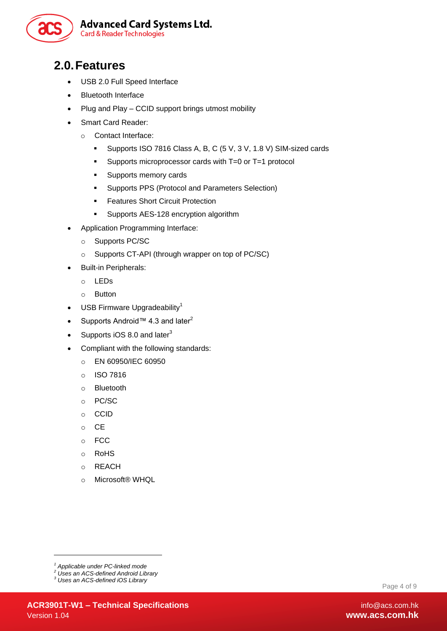

## <span id="page-3-0"></span>**2.0.Features**

- USB 2.0 Full Speed Interface
- Bluetooth Interface
- Plug and Play CCID support brings utmost mobility
- Smart Card Reader:
	- o Contact Interface:
		- Supports ISO 7816 Class A, B, C (5 V, 3 V, 1.8 V) SIM-sized cards
		- Supports microprocessor cards with T=0 or T=1 protocol
		- **Supports memory cards**
		- **Supports PPS (Protocol and Parameters Selection)**
		- **Features Short Circuit Protection**
		- **Supports AES-128 encryption algorithm**
- Application Programming Interface:
	- o Supports PC/SC
	- o Supports CT-API (through wrapper on top of PC/SC)
- Built-in Peripherals:
	- o LEDs
	- o Button
- $\bullet$  USB Firmware Upgradeability<sup>1</sup>
- Supports Android™ 4.3 and later<sup>2</sup>
- Supports iOS 8.0 and later $3$
- Compliant with the following standards:
	- o EN 60950/IEC 60950
	- o ISO 7816
	- o Bluetooth
	- o PC/SC
	- o CCID
	- o CE
	- o FCC
	- o RoHS
	- o REACH
	- o Microsoft® WHQL

1

*<sup>1</sup> Applicable under PC-linked mode*

*<sup>2</sup> Uses an ACS-defined Android Library*

*<sup>3</sup> Uses an ACS-defined iOS Library*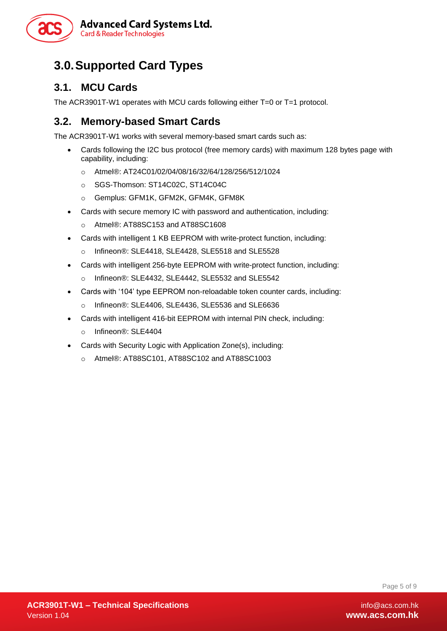

# <span id="page-4-0"></span>**3.0.Supported Card Types**

#### <span id="page-4-1"></span>**3.1. MCU Cards**

The ACR3901T-W1 operates with MCU cards following either T=0 or T=1 protocol.

#### <span id="page-4-2"></span>**3.2. Memory-based Smart Cards**

The ACR3901T-W1 works with several memory-based smart cards such as:

- Cards following the I2C bus protocol (free memory cards) with maximum 128 bytes page with capability, including:
	- o Atmel® : AT24C01/02/04/08/16/32/64/128/256/512/1024
	- o SGS-Thomson: ST14C02C, ST14C04C
	- o Gemplus: GFM1K, GFM2K, GFM4K, GFM8K
- Cards with secure memory IC with password and authentication, including:
	- o Atmel®: AT88SC153 and AT88SC1608
- Cards with intelligent 1 KB EEPROM with write-protect function, including:
	- $\circ$  Infineon®: SLE4418, SLE4428, SLE5518 and SLE5528
- Cards with intelligent 256-byte EEPROM with write-protect function, including:
	- o Infineon®: SLE4432, SLE4442, SLE5532 and SLE5542
- Cards with '104' type EEPROM non-reloadable token counter cards, including:
	- o Infineon®: SLE4406, SLE4436, SLE5536 and SLE6636
- Cards with intelligent 416-bit EEPROM with internal PIN check, including:
	- o Infineon®: SLE4404
- Cards with Security Logic with Application Zone(s), including:
	- o Atmel®: AT88SC101, AT88SC102 and AT88SC1003

Page 5 of 9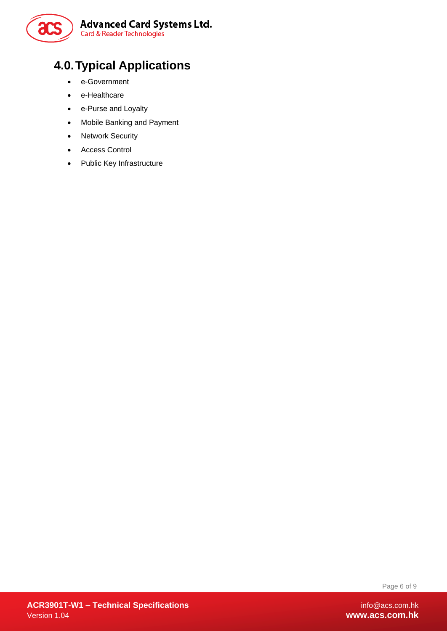

# <span id="page-5-0"></span>**4.0.Typical Applications**

- e-Government
- e-Healthcare
- e-Purse and Loyalty
- Mobile Banking and Payment
- Network Security
- Access Control
- Public Key Infrastructure

Page 6 of 9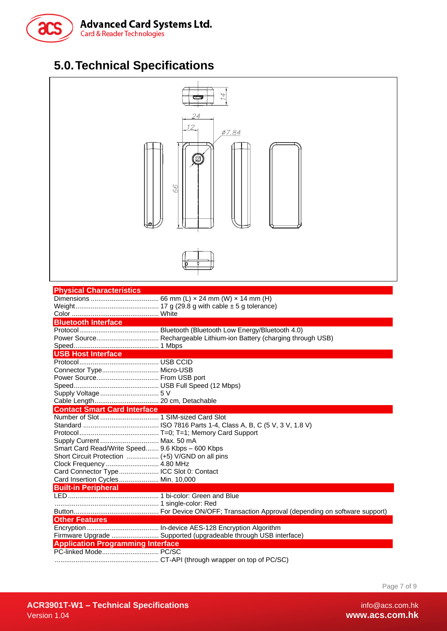

# <span id="page-6-0"></span>**5.0.Technical Specifications**



| <b>Physical Characteristics</b>                  |                                                                      |  |  |  |  |
|--------------------------------------------------|----------------------------------------------------------------------|--|--|--|--|
|                                                  |                                                                      |  |  |  |  |
|                                                  |                                                                      |  |  |  |  |
|                                                  |                                                                      |  |  |  |  |
| <b>Bluetooth Interface</b>                       |                                                                      |  |  |  |  |
|                                                  |                                                                      |  |  |  |  |
|                                                  | Power Source Rechargeable Lithium-ion Battery (charging through USB) |  |  |  |  |
|                                                  |                                                                      |  |  |  |  |
| USB Host Interface                               |                                                                      |  |  |  |  |
|                                                  |                                                                      |  |  |  |  |
| Connector Type Micro-USB                         |                                                                      |  |  |  |  |
| Power Source From USB port                       |                                                                      |  |  |  |  |
|                                                  |                                                                      |  |  |  |  |
|                                                  |                                                                      |  |  |  |  |
|                                                  |                                                                      |  |  |  |  |
| <b>Contact Smart Card Interface</b>              |                                                                      |  |  |  |  |
|                                                  |                                                                      |  |  |  |  |
|                                                  |                                                                      |  |  |  |  |
|                                                  |                                                                      |  |  |  |  |
| Supply Current  Max. 50 mA                       |                                                                      |  |  |  |  |
| Smart Card Read/Write Speed 9.6 Kbps - 600 Kbps  |                                                                      |  |  |  |  |
| Short Circuit Protection  (+5) V/GND on all pins |                                                                      |  |  |  |  |
|                                                  |                                                                      |  |  |  |  |
| Card Connector Type ICC Slot 0: Contact          |                                                                      |  |  |  |  |
| Card Insertion Cycles Min. 10,000                |                                                                      |  |  |  |  |
| <b>Built-in Peripheral</b>                       |                                                                      |  |  |  |  |
|                                                  |                                                                      |  |  |  |  |
|                                                  |                                                                      |  |  |  |  |
|                                                  |                                                                      |  |  |  |  |
| <b>Other Features</b>                            |                                                                      |  |  |  |  |
|                                                  |                                                                      |  |  |  |  |
|                                                  | Firmware Upgrade  Supported (upgradeable through USB interface)      |  |  |  |  |
| <b>Application Programming Interface</b>         |                                                                      |  |  |  |  |
| PC-linked Mode PC/SC                             |                                                                      |  |  |  |  |
|                                                  |                                                                      |  |  |  |  |

Page 7 of 9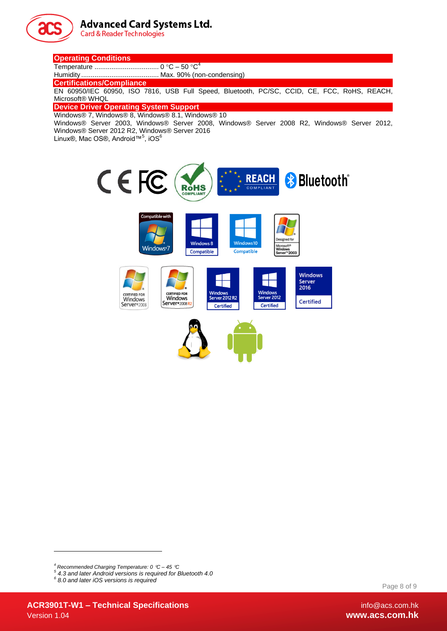

#### **Advanced Card Systems Ltd.**

**Card & Reader Technologies** 

#### **Operating Conditions**

Temperature .................................. 0 C – 50 C 4

Humidity ......................................... Max. 90% (non-condensing)

**Certifications/Compliance**

EN 60950/IEC 60950, ISO 7816, USB Full Speed, Bluetooth, PC/SC, CCID, CE, FCC, RoHS, REACH, Microsoft® WHQL

#### **Device Driver Operating System Support**

Windows® 7, Windows® 8, Windows® 8.1, Windows® 10

Windows® Server 2003, Windows® Server 2008, Windows® Server 2008 R2, Windows® Server 2012, Windows® Server 2012 R2, Windows® Server 2016

Linux®, Mac OS®, Android™<sup>5</sup>, iOS<sup>6</sup>



1

Page 8 of 9

*<sup>4</sup> Recommended Charging Temperature: 0 C – 45 C*

*<sup>5</sup> 4.3 and later Android versions is required for Bluetooth 4.0*

*<sup>6</sup> 8.0 and later iOS versions is required*